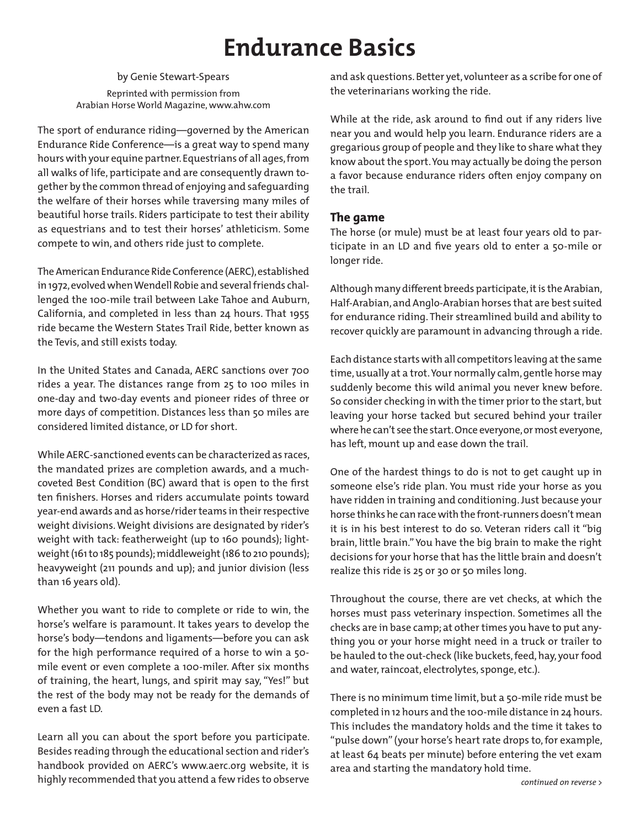## **Endurance Basics**

by Genie Stewart-Spears Reprinted with permission from Arabian Horse World Magazine, www.ahw.com

The sport of endurance riding—governed by the American Endurance Ride Conference—is a great way to spend many hours with your equine partner. Equestrians of all ages, from all walks of life, participate and are consequently drawn together by the common thread of enjoying and safeguarding the welfare of their horses while traversing many miles of beautiful horse trails. Riders participate to test their ability as equestrians and to test their horses' athleticism. Some compete to win, and others ride just to complete.

The American Endurance Ride Conference (AERC), established in 1972, evolved when Wendell Robie and several friends challenged the 100-mile trail between Lake Tahoe and Auburn, California, and completed in less than 24 hours. That 1955 ride became the Western States Trail Ride, better known as the Tevis, and still exists today.

In the United States and Canada, AERC sanctions over 700 rides a year. The distances range from 25 to 100 miles in one-day and two-day events and pioneer rides of three or more days of competition. Distances less than 50 miles are considered limited distance, or LD for short.

While AERC-sanctioned events can be characterized as races, the mandated prizes are completion awards, and a muchcoveted Best Condition (BC) award that is open to the first ten finishers. Horses and riders accumulate points toward year-end awards and as horse/rider teams in their respective weight divisions. Weight divisions are designated by rider's weight with tack: featherweight (up to 160 pounds); lightweight (161 to 185 pounds); middleweight (186 to 210 pounds); heavyweight (211 pounds and up); and junior division (less than 16 years old).

Whether you want to ride to complete or ride to win, the horse's welfare is paramount. It takes years to develop the horse's body—tendons and ligaments—before you can ask for the high performance required of a horse to win a 50 mile event or even complete a 100-miler. After six months of training, the heart, lungs, and spirit may say, "Yes!" but the rest of the body may not be ready for the demands of even a fast LD.

Learn all you can about the sport before you participate. Besides reading through the educational section and rider's handbook provided on AERC's www.aerc.org website, it is highly recommended that you attend a few rides to observe and ask questions. Better yet, volunteer as a scribe for one of the veterinarians working the ride.

While at the ride, ask around to find out if any riders live near you and would help you learn. Endurance riders are a gregarious group of people and they like to share what they know about the sport. You may actually be doing the person a favor because endurance riders often enjoy company on the trail.

## **The game**

The horse (or mule) must be at least four years old to participate in an LD and five years old to enter a 50-mile or longer ride.

Although many different breeds participate, it is the Arabian, Half-Arabian, and Anglo-Arabian horses that are best suited for endurance riding. Their streamlined build and ability to recover quickly are paramount in advancing through a ride.

Each distance starts with all competitors leaving at the same time, usually at a trot. Your normally calm, gentle horse may suddenly become this wild animal you never knew before. So consider checking in with the timer prior to the start, but leaving your horse tacked but secured behind your trailer where he can't see the start. Once everyone, or most everyone, has left, mount up and ease down the trail.

One of the hardest things to do is not to get caught up in someone else's ride plan. You must ride your horse as you have ridden in training and conditioning. Just because your horse thinks he can race with the front-runners doesn't mean it is in his best interest to do so. Veteran riders call it "big brain, little brain." You have the big brain to make the right decisions for your horse that has the little brain and doesn't realize this ride is 25 or 30 or 50 miles long.

Throughout the course, there are vet checks, at which the horses must pass veterinary inspection. Sometimes all the checks are in base camp; at other times you have to put anything you or your horse might need in a truck or trailer to be hauled to the out-check (like buckets, feed, hay, your food and water, raincoat, electrolytes, sponge, etc.).

There is no minimum time limit, but a 50-mile ride must be completed in 12 hours and the 100-mile distance in 24 hours. This includes the mandatory holds and the time it takes to "pulse down" (your horse's heart rate drops to, for example, at least 64 beats per minute) before entering the vet exam area and starting the mandatory hold time.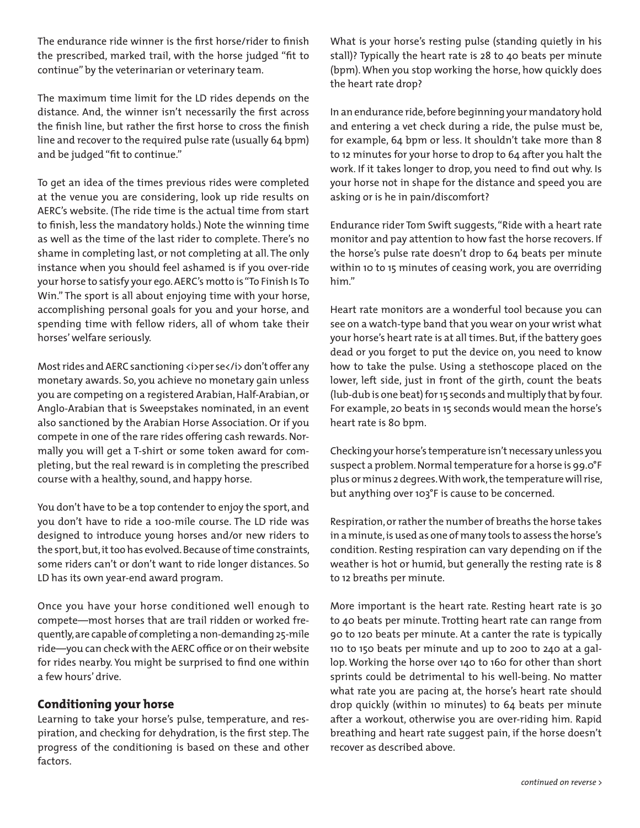The endurance ride winner is the first horse/rider to finish the prescribed, marked trail, with the horse judged "fit to continue" by the veterinarian or veterinary team.

The maximum time limit for the LD rides depends on the distance. And, the winner isn't necessarily the first across the finish line, but rather the first horse to cross the finish line and recover to the required pulse rate (usually 64 bpm) and be judged "fit to continue."

To get an idea of the times previous rides were completed at the venue you are considering, look up ride results on AERC's website. (The ride time is the actual time from start to finish, less the mandatory holds.) Note the winning time as well as the time of the last rider to complete. There's no shame in completing last, or not completing at all. The only instance when you should feel ashamed is if you over-ride your horse to satisfy your ego. AERC's motto is "To Finish Is To Win." The sport is all about enjoying time with your horse, accomplishing personal goals for you and your horse, and spending time with fellow riders, all of whom take their horses' welfare seriously.

Most rides and AERC sanctioning <i>per se</i> don't offer any monetary awards. So, you achieve no monetary gain unless you are competing on a registered Arabian, Half-Arabian, or Anglo-Arabian that is Sweepstakes nominated, in an event also sanctioned by the Arabian Horse Association. Or if you compete in one of the rare rides offering cash rewards. Normally you will get a T-shirt or some token award for completing, but the real reward is in completing the prescribed course with a healthy, sound, and happy horse.

You don't have to be a top contender to enjoy the sport, and you don't have to ride a 100-mile course. The LD ride was designed to introduce young horses and/or new riders to the sport, but, it too has evolved. Because of time constraints, some riders can't or don't want to ride longer distances. So LD has its own year-end award program.

Once you have your horse conditioned well enough to compete—most horses that are trail ridden or worked frequently, are capable of completing a non-demanding 25-mile ride—you can check with the AERC office or on their website for rides nearby. You might be surprised to find one within a few hours' drive.

## **Conditioning your horse**

Learning to take your horse's pulse, temperature, and respiration, and checking for dehydration, is the first step. The progress of the conditioning is based on these and other factors.

What is your horse's resting pulse (standing quietly in his stall)? Typically the heart rate is 28 to 40 beats per minute (bpm). When you stop working the horse, how quickly does the heart rate drop?

In an endurance ride, before beginning your mandatory hold and entering a vet check during a ride, the pulse must be, for example, 64 bpm or less. It shouldn't take more than 8 to 12 minutes for your horse to drop to 64 after you halt the work. If it takes longer to drop, you need to find out why. Is your horse not in shape for the distance and speed you are asking or is he in pain/discomfort?

Endurance rider Tom Swift suggests, "Ride with a heart rate monitor and pay attention to how fast the horse recovers. If the horse's pulse rate doesn't drop to 64 beats per minute within 10 to 15 minutes of ceasing work, you are overriding him."

Heart rate monitors are a wonderful tool because you can see on a watch-type band that you wear on your wrist what your horse's heart rate is at all times. But, if the battery goes dead or you forget to put the device on, you need to know how to take the pulse. Using a stethoscope placed on the lower, left side, just in front of the girth, count the beats (lub-dub is one beat) for 15 seconds and multiply that by four. For example, 20 beats in 15 seconds would mean the horse's heart rate is 80 bpm.

Checking your horse's temperature isn't necessary unless you suspect a problem. Normal temperature for a horse is 99.0°F plus or minus 2 degrees. With work, the temperature will rise, but anything over 103°F is cause to be concerned.

Respiration, or rather the number of breaths the horse takes in a minute, is used as one of many tools to assess the horse's condition. Resting respiration can vary depending on if the weather is hot or humid, but generally the resting rate is 8 to 12 breaths per minute.

More important is the heart rate. Resting heart rate is 30 to 40 beats per minute. Trotting heart rate can range from 90 to 120 beats per minute. At a canter the rate is typically 110 to 150 beats per minute and up to 200 to 240 at a gallop. Working the horse over 140 to 160 for other than short sprints could be detrimental to his well-being. No matter what rate you are pacing at, the horse's heart rate should drop quickly (within 10 minutes) to 64 beats per minute after a workout, otherwise you are over-riding him. Rapid breathing and heart rate suggest pain, if the horse doesn't recover as described above.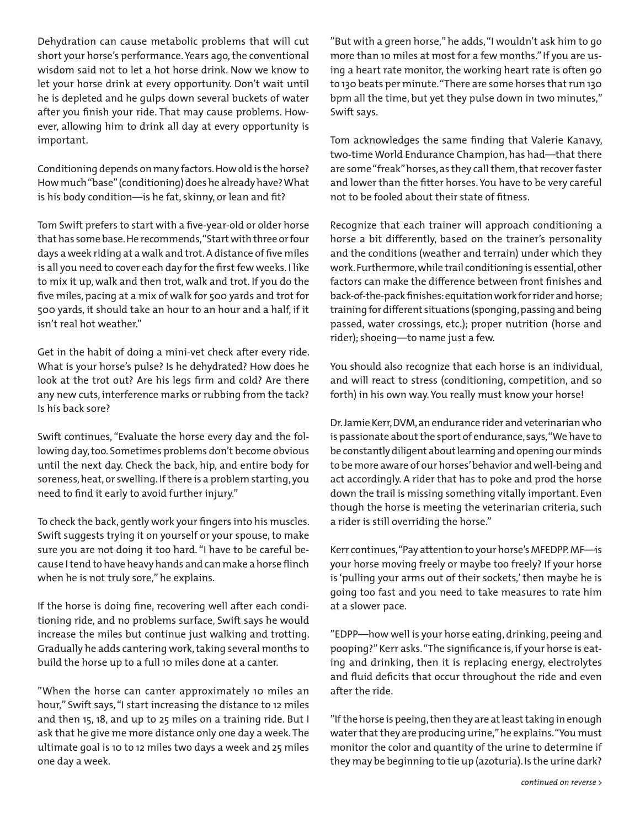Dehydration can cause metabolic problems that will cut short your horse's performance. Years ago, the conventional wisdom said not to let a hot horse drink. Now we know to let your horse drink at every opportunity. Don't wait until he is depleted and he gulps down several buckets of water after you finish your ride. That may cause problems. However, allowing him to drink all day at every opportunity is important.

Conditioning depends on many factors. How old is the horse? How much "base" (conditioning) does he already have? What is his body condition—is he fat, skinny, or lean and fit?

Tom Swift prefers to start with a five-year-old or older horse that has some base. He recommends, "Start with three or four days a week riding at a walk and trot. A distance of five miles is all you need to cover each day for the first few weeks. I like to mix it up, walk and then trot, walk and trot. If you do the five miles, pacing at a mix of walk for 500 yards and trot for 500 yards, it should take an hour to an hour and a half, if it isn't real hot weather."

Get in the habit of doing a mini-vet check after every ride. What is your horse's pulse? Is he dehydrated? How does he look at the trot out? Are his legs firm and cold? Are there any new cuts, interference marks or rubbing from the tack? Is his back sore?

Swift continues, "Evaluate the horse every day and the following day, too. Sometimes problems don't become obvious until the next day. Check the back, hip, and entire body for soreness, heat, or swelling. If there is a problem starting, you need to find it early to avoid further injury."

To check the back, gently work your fingers into his muscles. Swift suggests trying it on yourself or your spouse, to make sure you are not doing it too hard. "I have to be careful because I tend to have heavy hands and can make a horse flinch when he is not truly sore," he explains.

If the horse is doing fine, recovering well after each conditioning ride, and no problems surface, Swift says he would increase the miles but continue just walking and trotting. Gradually he adds cantering work, taking several months to build the horse up to a full 10 miles done at a canter.

"When the horse can canter approximately 10 miles an hour," Swift says, "I start increasing the distance to 12 miles and then 15, 18, and up to 25 miles on a training ride. But I ask that he give me more distance only one day a week. The ultimate goal is 10 to 12 miles two days a week and 25 miles one day a week.

"But with a green horse," he adds, "I wouldn't ask him to go more than 10 miles at most for a few months." If you are using a heart rate monitor, the working heart rate is often 90 to 130 beats per minute. "There are some horses that run 130 bpm all the time, but yet they pulse down in two minutes," Swift says.

Tom acknowledges the same finding that Valerie Kanavy, two-time World Endurance Champion, has had—that there are some "freak" horses, as they call them, that recover faster and lower than the fitter horses. You have to be very careful not to be fooled about their state of fitness.

Recognize that each trainer will approach conditioning a horse a bit differently, based on the trainer's personality and the conditions (weather and terrain) under which they work. Furthermore, while trail conditioning is essential, other factors can make the difference between front finishes and back-of-the-pack finishes: equitation work for rider and horse; training for different situations (sponging, passing and being passed, water crossings, etc.); proper nutrition (horse and rider); shoeing—to name just a few.

You should also recognize that each horse is an individual, and will react to stress (conditioning, competition, and so forth) in his own way. You really must know your horse!

Dr. Jamie Kerr, DVM, an endurance rider and veterinarian who is passionate about the sport of endurance, says, "We have to be constantly diligent about learning and opening our minds to be more aware of our horses' behavior and well-being and act accordingly. A rider that has to poke and prod the horse down the trail is missing something vitally important. Even though the horse is meeting the veterinarian criteria, such a rider is still overriding the horse."

Kerr continues, "Pay attention to your horse's MFEDPP. MF—is your horse moving freely or maybe too freely? If your horse is 'pulling your arms out of their sockets,' then maybe he is going too fast and you need to take measures to rate him at a slower pace.

"EDPP—how well is your horse eating, drinking, peeing and pooping?" Kerr asks. "The significance is, if your horse is eating and drinking, then it is replacing energy, electrolytes and fluid deficits that occur throughout the ride and even after the ride.

"If the horse is peeing, then they are at least taking in enough water that they are producing urine," he explains. "You must monitor the color and quantity of the urine to determine if they may be beginning to tie up (azoturia). Is the urine dark?